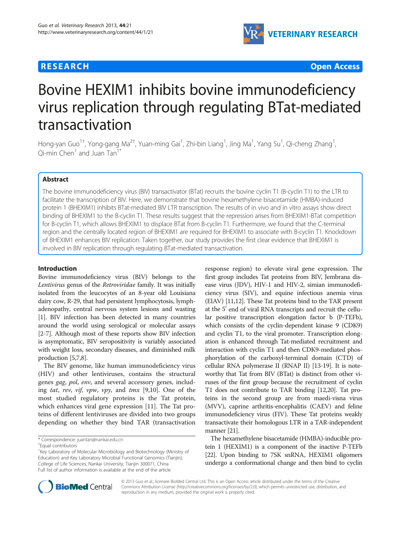## **RESEARCH CHE Open Access**



# Bovine HEXIM1 inhibits bovine immunodeficiency virus replication through regulating BTat-mediated transactivation

Hong-yan Guo<sup>1†</sup>, Yong-gang Ma<sup>2†</sup>, Yuan-ming Gai<sup>1</sup>, Zhi-bin Liang<sup>1</sup>, Jing Ma<sup>1</sup>, Yang Su<sup>1</sup>, Qi-cheng Zhang<sup>1</sup> ,  $O$ i-min Chen<sup>1</sup> and Juan Tan<sup>1\*</sup>

## Abstract

The bovine immunodeficiency virus (BIV) transactivator (BTat) recruits the bovine cyclin T1 (B-cyclin T1) to the LTR to facilitate the transcription of BIV. Here, we demonstrate that bovine hexamethylene bisacetamide (HMBA)-induced protein 1 (BHEXIM1) inhibits BTat-mediated BIV LTR transcription. The results of in vivo and in vitro assays show direct binding of BHEXIM1 to the B-cyclin T1. These results suggest that the repression arises from BHEXIM1-BTat competition for B-cyclin T1, which allows BHEXIM1 to displace BTat from B-cyclin T1. Furthermore, we found that the C-terminal region and the centrally located region of BHEXIM1 are required for BHEXIM1 to associate with B-cyclin T1. Knockdown of BHEXIM1 enhances BIV replication. Taken together, our study provides the first clear evidence that BHEXIM1 is involved in BIV replication through regulating BTat-mediated transactivation.

## Introduction

Bovine immunodeficiency virus (BIV) belongs to the Lentivirus genus of the Retroviridae family. It was initially isolated from the leucocytes of an 8-year old Louisiana dairy cow, R-29, that had persistent lymphocytosis, lymphadenopathy, central nervous system lesions and wasting [[1\]](#page-7-0). BIV infection has been detected in many countries around the world using serological or molecular assays [[2-7\]](#page-7-0). Although most of these reports show BIV infection is asymptomatic, BIV seropositivity is variably associated with weight loss, secondary diseases, and diminished milk production [[5,7,8](#page-7-0)].

The BIV genome, like human immunodeficiency virus (HIV) and other lentiviruses, contains the structural genes gag, pol, env, and several accessory genes, includ-ing tat, rev, vif, vpw, vpy, and tmx [\[9,10](#page-7-0)]. One of the most studied regulatory proteins is the Tat protein, which enhances viral gene expression [[11\]](#page-7-0). The Tat proteins of different lentiviruses are divided into two groups depending on whether they bind TAR (transactivation

response region) to elevate viral gene expression. The first group includes Tat proteins from BIV, Jembrana disease virus (JDV), HIV-1 and HIV-2, simian immunodeficiency virus (SIV), and equine infectious anemia virus (EIAV) [\[11,12](#page-7-0)]. These Tat proteins bind to the TAR present at the 5' end of viral RNA transcripts and recruit the cellular positive transcription elongation factor b (P-TEFb), which consists of the cyclin-dependent kinase 9 (CDK9) and cyclin T1, to the viral promoter. Transcription elongation is enhanced through Tat-mediated recruitment and interaction with cyclin T1 and then CDK9-mediated phosphorylation of the carboxyl-terminal domain (CTD) of cellular RNA polymerase II (RNAP II) [[13](#page-7-0)-[19](#page-7-0)]. It is noteworthy that Tat from BIV (BTat) is distinct from other viruses of the first group because the recruitment of cyclin T1 does not contribute to TAR binding [[12,20\]](#page-7-0). Tat proteins in the second group are from maedi-visna virus (MVV), caprine arthritis-encephalitis (CAEV) and feline immunodeficiency virus (FIV). These Tat proteins weakly transactivate their homologous LTR in a TAR-independent manner [\[21](#page-7-0)].

The hexamethylene bisacetamide (HMBA)-inducible protein 1 (HEXIM1) is a component of the inactive P-TEFb [[22](#page-7-0)]. Upon binding to 7SK snRNA, HEXIM1 oligomers undergo a conformational change and then bind to cyclin



© 2013 Guo et al.; licensee BioMed Central Ltd. This is an Open Access article distributed under the terms of the Creative Commons Attribution License [\(http://creativecommons.org/licenses/by/2.0\)](http://creativecommons.org/licenses/by/2.0), which permits unrestricted use, distribution, and reproduction in any medium, provided the original work is properly cited.

<sup>\*</sup> Correspondence: [juantan@nankai.edu.cn](mailto:juantan@nankai.edu.cn) †

Equal contributors

<sup>&</sup>lt;sup>1</sup>Key Laboratory of Molecular Microbiology and Biotechnology (Ministry of Education) and Key Laboratory Microbial Functional Genomics (Tianjin), College of Life Sciences, Nankai University, Tianjin 300071, China Full list of author information is available at the end of the article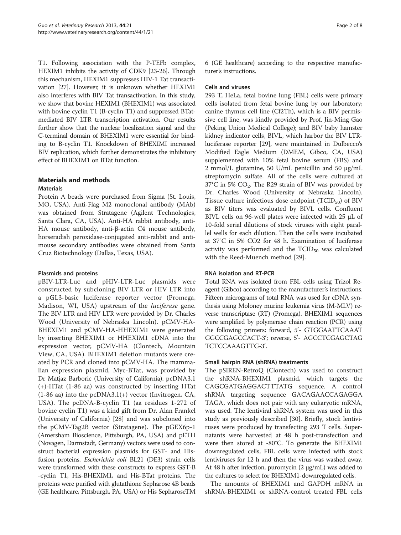T1. Following association with the P-TEFb complex, HEXIM1 inhibits the activity of CDK9 [\[23](#page-7-0)-[26](#page-7-0)]. Through this mechanism, HEXIM1 suppresses HIV-1 Tat transactivation [\[27](#page-7-0)]. However, it is unknown whether HEXIM1 also interferes with BIV Tat transactivation. In this study, we show that bovine HEXIM1 (BHEXIM1) was associated with bovine cyclin T1 (B-cyclin T1) and suppressed BTatmediated BIV LTR transcription activation. Our results further show that the nuclear localization signal and the C-terminal domain of BHEXIM1 were essential for binding to B-cyclin T1. Knockdown of BHEXIMI increased BIV replication, which further demonstrates the inhibitory effect of BHEXIM1 on BTat function.

## Materials and methods

## **Materials**

Protein A beads were purchased from Sigma (St. Louis, MO, USA). Anti-Flag M2 monoclonal antibody (MAb) was obtained from Stratagene (Agilent Technologies, Santa Clara, CA, USA). Anti-HA rabbit antibody, anti-HA mouse antibody, anti-β-actin C4 mouse antibody, horseradish peroxidase-conjugated anti-rabbit and antimouse secondary antibodies were obtained from Santa Cruz Biotechnology (Dallas, Texas, USA).

## Plasmids and proteins

pBIV-LTR-Luc and pHIV-LTR-Luc plasmids were constructed by subcloning BIV LTR or HIV LTR into a pGL3-basic luciferase reporter vector (Promega, Madison, WI, USA) upstream of the luciferase gene. The BIV LTR and HIV LTR were provided by Dr. Charles Wood (University of Nebraska Lincoln). pCMV-HA-BHEXIM1 and pCMV-HA-HHEXIM1 were generated by inserting BHEXIM1 or HHEXIM1 cDNA into the expression vector, pCMV-HA (Clontech, Mountain View, CA, USA). BHEXIM1 deletion mutants were created by PCR and cloned into pCMV-HA. The mammalian expression plasmid, Myc-BTat, was provided by Dr Matjaz Barboric (University of California). pcDNA3.1 (+)-HTat (1-86 aa) was constructed by inserting HTat  $(1-86$  aa) into the pcDNA3.1(+) vector (Invitrogen, CA, USA). The pcDNA-B-cyclin T1 (aa residues 1-272 of bovine cyclin T1) was a kind gift from Dr. Alan Frankel (University of California) [[28\]](#page-7-0) and was subcloned into the pCMV-Tag2B vector (Stratagene). The pGEX6p-1 (Amersham Bioscience, Pittsburgh, PA, USA) and pETH (Novagen, Darmstadt, Germany) vectors were used to construct bacterial expression plasmids for GST- and Hisfusion proteins. Escherichia coli BL21 (DE3) strain cells were transformed with these constructs to express GST-B -cyclin T1, His-BHEXIM1, and His-BTat proteins. The proteins were purified with glutathione Sepharose 4B beads (GE healthcare, Pittsburgh, PA, USA) or His SepharoseTM

6 (GE healthcare) according to the respective manufacturer's instructions.

## Cells and viruses

293 T, HeLa, fetal bovine lung (FBL) cells were primary cells isolated from fetal bovine lung by our laboratory; canine thymus cell line (Cf2Th), which is a BIV permissive cell line, was kindly provided by Prof. Jin-Ming Gao (Peking Union Medical College); and BIV baby hamster kidney indicator cells, BIVL, which harbor the BIV LTRluciferase reporter [[29\]](#page-7-0), were maintained in Dulbecco's Modified Eagle Medium (DMEM, Gibco, CA, USA) supplemented with 10% fetal bovine serum (FBS) and 2 mmol/L glutamine, 50 U/mL penicillin and 50 μg/mL streptomycin sulfate. All of the cells were cultured at  $37^{\circ}$ C in 5% CO<sub>2</sub>. The R29 strain of BIV was provided by Dr. Charles Wood (University of Nebraska Lincoln). Tissue culture infectious dose endpoint  $(TCID_{50})$  of BIV as BIV titers was evaluated by BIVL cells. Confluent BIVL cells on 96-well plates were infected with 25 μL of 10-fold serial dilutions of stock viruses with eight parallel wells for each dilution. Then the cells were incubated at 37°C in 5% CO2 for 48 h. Examination of luciferase activity was performed and the  $TCID_{50}$  was calculated with the Reed-Muench method [\[29](#page-7-0)].

## RNA isolation and RT-PCR

Total RNA was isolated from FBL cells using Trizol Reagent (Gibco) according to the manufacturer's instructions. Fifteen micrograms of total RNA was used for cDNA synthesis using Moloney murine leukemia virus (M-MLV) reverse transcriptase (RT) (Promega). BHEXIM1 sequences were amplified by polymerase chain reaction (PCR) using the following primers: forward, 5'- GTGGAATTCAAAT GGCCGAGCCACT-3'; reverse, 5'- AGCCTCGAGCTAG TCTCCAAAGTTG-3'.

## Small hairpin RNA (shRNA) treatments

The pSIREN-RetroQ (Clontech) was used to construct the shRNA-BHEXIM1 plasmid, which targets the CAGCGATGAGGACTTTATG sequence. A control shRNA targeting sequence GACAGAACCAGAGGA TAGA, which does not pair with any eukaryotic mRNA, was used. The lentiviral shRNA system was used in this study as previously described [[30](#page-7-0)]. Briefly, stock lentiviruses were produced by transfecting 293 T cells. Supernatants were harvested at 48 h post-transfection and were then stored at -80°C. To generate the BHEXIM1 downregulated cells, FBL cells were infected with stock lentiviruses for 12 h and then the virus was washed away. At 48 h after infection, puromycin (2 μg/mL) was added to the cultures to select for BHEXIM1-downregulated cells.

The amounts of BHEXIM1 and GAPDH mRNA in shRNA-BHEXIM1 or shRNA-control treated FBL cells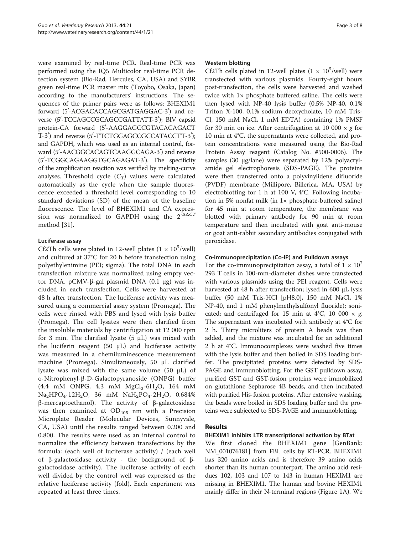were examined by real-time PCR. Real-time PCR was performed using the IQ5 Multicolor real-time PCR detection system (Bio-Rad, Hercules, CA, USA) and SYBR green real-time PCR master mix (Toyobo, Osaka, Japan) according to the manufacturers' instructions. The sequences of the primer pairs were as follows: BHEXIM1 forward (5'-ACGACACCAGCGATGAGGAC-3') and reverse (5'-TCCAGCCGCAGCCGATTATT-3'); BIV capsid protein-CA forward (5'-AAGGAGCCGTACACAGACT T-3') and reverse (5'-TTCTGGAGCCGCCATACCTT-3'); and GAPDH, which was used as an internal control, forward (5'-AACGGCACAGTCAAGGCAGA-3') and reverse (5'-TCGGCAGAAGGTGCAGAGAT-3'). The specificity of the amplification reaction was verified by melting-curve analyses. Threshold cycle  $(C_T)$  values were calculated automatically as the cycle when the sample fluorescence exceeded a threshold level corresponding to 10 standard deviations (SD) of the mean of the baseline fluorescence. The level of BHEXIM1 and CA expression was normalized to GAPDH using the  $2^{-\Delta\Delta CT}$ method [[31\]](#page-7-0).

## Luciferase assay

Cf2Th cells were plated in 12-well plates  $(1 \times 10^5/\text{well})$ and cultured at 37°C for 20 h before transfection using polyethylenimine (PEI; sigma). The total DNA in each transfection mixture was normalized using empty vector DNA. pCMV-β-gal plasmid DNA (0.1 μg) was included in each transfection. Cells were harvested at 48 h after transfection. The luciferase activity was measured using a commercial assay system (Promega). The cells were rinsed with PBS and lysed with lysis buffer (Promega). The cell lysates were then clarified from the insoluble materials by centrifugation at 12 000 rpm for 3 min. The clarified lysate  $(5 \mu L)$  was mixed with the luciferin reagent (50  $\mu$ L) and luciferase activity was measured in a chemiluminescence measurement machine (Promega). Simultaneously, 50 μL clarified lysate was mixed with the same volume (50 μL) of o-Nitrophenyl-β-D-Galactopyranoside (ONPG) buffer  $(4.4 \text{ mM ONPG}, 4.3 \text{ mM MgCl}_2-6H_2O, 164 \text{ mM}$  $Na<sub>2</sub>HPO<sub>4</sub>-12H<sub>2</sub>O$ , 36 mM  $NaH<sub>2</sub>PO<sub>4</sub>-2H<sub>2</sub>O$ , 0.684% β-mercaptoethanol). The activity of β-galactosidase was then examined at  $OD_{405}$  nm with a Precision Microplate Reader (Molecular Devices, Sunnyvale, CA, USA) until the results ranged between 0.200 and 0.800. The results were used as an internal control to normalize the efficiency between transfections by the formula: (each well of luciferase activity) / (each well of β-galactosidase activity - the background of βgalactosidase activity). The luciferase activity of each well divided by the control well was expressed as the relative luciferase activity (fold). Each experiment was repeated at least three times.

## Western blotting

Cf2Th cells plated in 12-well plates  $(1 \times 10^5/\text{well})$  were transfected with various plasmids. Fourty-eight hours post-transfection, the cells were harvested and washed twice with 1× phosphate buffered saline. The cells were then lysed with NP-40 lysis buffer (0.5% NP-40, 0.1% Triton X-100, 0.1% sodium deoxycholate, 10 mM Tris-Cl, 150 mM NaCl, 1 mM EDTA) containing 1% PMSF for 30 min on ice. After centrifugation at 10 000  $\times$  g for 10 min at 4°C, the supernatants were collected, and protein concentrations were measured using the Bio-Rad Protein Assay reagent (Catalog No. #500-0006). The samples (30 μg/lane) were separated by 12% polyacrylamide gel electrophoresis (SDS-PAGE). The proteins were then transferred onto a polyvinylidene difluoride (PVDF) membrane (Millipore, Billerica, MA, USA) by electroblotting for 1 h at 100 V, 4°C. Following incubation in 5% nonfat milk (in 1× phosphate-buffered saline) for 45 min at room temperature, the membrane was blotted with primary antibody for 90 min at room temperature and then incubated with goat anti-mouse or goat anti-rabbit secondary antibodies conjugated with peroxidase.

## Co-immunoprecipitation (Co-IP) and Pulldown assays

For the co-immunoprecipitation assay, a total of  $1 \times 10^{7}$ 293 T cells in 100-mm-diameter dishes were transfected with various plasmids using the PEI reagent. Cells were harvested at 48 h after transfection; lysed in 600 μL lysis buffer (50 mM Tris-HCl [pH8.0], 150 mM NaCl, 1% NP-40, and 1 mM phenylmethylsulfonyl fluoride); sonicated; and centrifuged for 15 min at 4°C, 10 000  $\times$  g. The supernatant was incubated with antibody at 4°C for 2 h. Thirty microliters of protein A beads was then added, and the mixture was incubated for an additional 2 h at 4°C. Immunocomplexes were washed five times with the lysis buffer and then boiled in SDS loading buffer. The precipitated proteins were detected by SDS-PAGE and immunoblotting. For the GST pulldown assay, purified GST and GST-fusion proteins were immobilized on glutathione Sepharose 4B beads, and then incubated with purified His-fusion proteins. After extensive washing, the beads were boiled in SDS loading buffer and the proteins were subjected to SDS-PAGE and immunoblotting.

## Results

## BHEXIM1 inhibits LTR transcriptional activation by BTat

We first cloned the BHEXIM1 gene [GenBank: NM\_001076181] from FBL cells by RT-PCR. BHEXIM1 has 320 amino acids and is therefore 39 amino acids shorter than its human counterpart. The amino acid residues 102, 103 and 107 to 143 in human HEXIM1 are missing in BHEXIM1. The human and bovine HEXIM1 mainly differ in their N-terminal regions (Figure [1](#page-3-0)A). We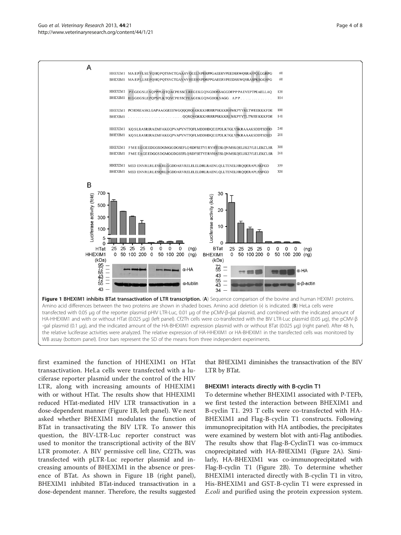#### <span id="page-3-0"></span>Guo et al. Veterinary Research 2013, 44:21 **Page 4 of 8** and the search 2013, 44:21 http://www.veterinaryresearch.org/content/44/1/21



first examined the function of HHEXIM1 on HTat transactivation. HeLa cells were transfected with a luciferase reporter plasmid under the control of the HIV LTR, along with increasing amounts of HHEXIM1 with or without HTat. The results show that HHEXIM1 reduced HTat-mediated HIV LTR transactivation in a dose-dependent manner (Figure 1B, left panel). We next asked whether BHEXIM1 modulates the function of BTat in transactivating the BIV LTR. To answer this question, the BIV-LTR-Luc reporter construct was used to monitor the transcriptional activity of the BIV LTR promoter. A BIV permissive cell line, Cf2Th, was transfected with pLTR-Luc reporter plasmid and increasing amounts of BHEXIM1 in the absence or presence of BTat. As shown in Figure 1B (right panel), BHEXIM1 inhibited BTat-induced transactivation in a dose-dependent manner. Therefore, the results suggested

that BHEXIM1 diminishes the transactivation of the BIV LTR by BTat.

## BHEXIM1 interacts directly with B-cyclin T1

To determine whether BHEXIM1 associated with P-TEFb, we first tested the interaction between BHEXIM1 and B-cyclin T1. 293 T cells were co-transfected with HA-BHEXIM1 and Flag-B-cyclin T1 constructs. Following immunoprecipitation with HA antibodies, the precipitates were examined by western blot with anti-Flag antibodies. The results show that Flag-B-CyclinT1 was co-immucx cnoprecipitated with HA-BHEXIM1 (Figure [2A](#page-4-0)). Similarly, HA-BHEXIM1 was co-immunoprecipitated with Flag-B-cyclin T1 (Figure [2](#page-4-0)B). To determine whether BHEXIM1 interacted directly with B-cyclin T1 in vitro, His-BHEXIM1 and GST-B-cyclin T1 were expressed in E.coli and purified using the protein expression system.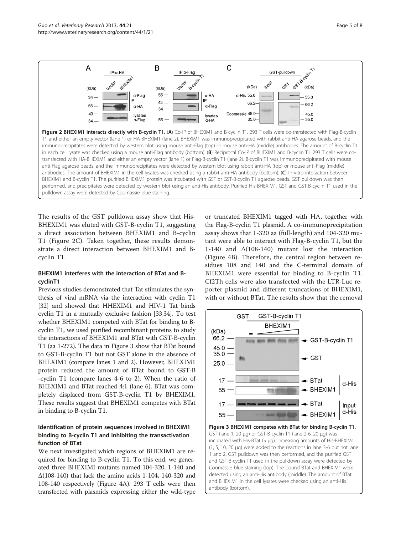<span id="page-4-0"></span>

The results of the GST pulldown assay show that His-BHEXIM1 was eluted with GST-B-cyclin T1, suggesting a direct association between BHEXIM1 and B-cyclin T1 (Figure 2C). Taken together, these results demonstrate a direct interaction between BHEXIM1 and Bcyclin T1.

## BHEXIM1 interferes with the interaction of BTat and BcyclinT1

Previous studies demonstrated that Tat stimulates the synthesis of viral mRNA via the interaction with cyclin T1 [[32](#page-7-0)] and showed that HHEXIM1 and HIV-1 Tat binds cyclin T1 in a mutually exclusive fashion [\[33,34\]](#page-7-0). To test whether BHEXIM1 competed with BTat for binding to Bcyclin T1, we used purified recombinant proteins to study the interactions of BHEXIM1 and BTat with GST-B-cyclin T1 (aa 1-272). The data in Figure 3 show that BTat bound to GST-B-cyclin T1 but not GST alone in the absence of BHEXIM1 (compare lanes 1 and 2). However, BHEXIM1 protein reduced the amount of BTat bound to GST-B -cyclin T1 (compare lanes 4-6 to 2). When the ratio of BHEXIM1 and BTat reached 4:1 (lane 6), BTat was completely displaced from GST-B-cyclin T1 by BHEXIM1. These results suggest that BHEXIM1 competes with BTat in binding to B-cyclin T1.

## Identification of protein sequences involved in BHEXIM1 binding to B-cyclin T1 and inhibiting the transactivation function of BTat

We next investigated which regions of BHEXIM1 are required for binding to B-cyclin T1. To this end, we generated three BHEXIMI mutants named 104-320, 1-140 and Δ(108-140) that lack the amino acids 1-104, 140-320 and 108-140 respectively (Figure [4A](#page-5-0)). 293 T cells were then transfected with plasmids expressing either the wild-type

or truncated BHEXIM1 tagged with HA, together with the Flag-B-cyclin T1 plasmid. A co-immunoprecipitation assay shows that 1-320 aa (full-length) and 104-320 mutant were able to interact with Flag-B-cyclin T1, but the 1-140 and  $\Delta(108-140)$  mutant lost the interaction (Figure [4B](#page-5-0)). Therefore, the central region between residues 108 and 140 and the C-terminal domain of BHEXIM1 were essential for binding to B-cyclin T1. Cf2Th cells were also transfected with the LTR-Luc reporter plasmid and different truncations of BHEXIM1, with or without BTat. The results show that the removal



incubated with His-BTat (5 μg). Increasing amounts of His-BHEXIM1 (1, 5, 10, 20 μg) were added to the reactions in lane 3-6 but not lane 1 and 2. GST pulldown was then performed, and the purified GST and GST-B-cyclin T1 used in the pulldown assay were detected by Coomassie blue staining (top). The bound BTat and BHEXIM1 were detected using an anti-His antibody (middle). The amount of BTat and BHEXIM1 in the cell lysates were checked using an anti-His antibody (bottom).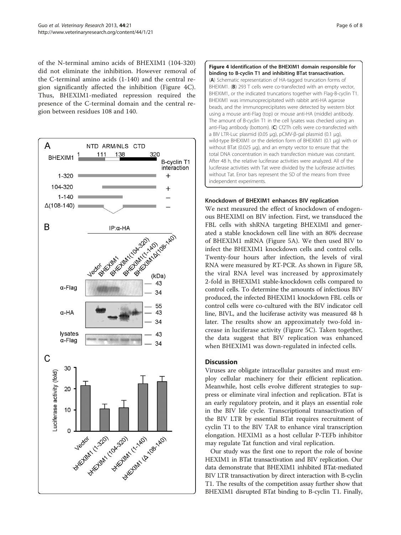<span id="page-5-0"></span>of the N-terminal amino acids of BHEXIM1 (104-320) did not eliminate the inhibition. However removal of the C-terminal amino acids (1-140) and the central region significantly affected the inhibition (Figure 4C). Thus, BHEXIM1-mediated repression required the presence of the C-terminal domain and the central region between residues 108 and 140.





## Knockdown of BHEXIM1 enhances BIV replication

We next measured the effect of knockdown of endogenous BHEXIMI on BIV infection. First, we transduced the FBL cells with shRNA targeting BHEXIMI and generated a stable knockdown cell line with an 80% decrease of BHEXIM1 mRNA (Figure [5A](#page-6-0)). We then used BIV to infect the BHEXIM1 knockdown cells and control cells. Twenty-four hours after infection, the levels of viral RNA were measured by RT-PCR. As shown in Figure [5B](#page-6-0), the viral RNA level was increased by approximately 2-fold in BHEXIM1 stable-knockdown cells compared to control cells. To determine the amounts of infectious BIV produced, the infected BHEXIM1 knockdown FBL cells or control cells were co-cultured with the BIV indicator cell line, BIVL, and the luciferase activity was measured 48 h later. The results show an approximately two-fold increase in luciferase activity (Figure [5](#page-6-0)C). Taken together, the data suggest that BIV replication was enhanced when BHEXIM1 was down-regulated in infected cells.

## **Discussion**

Viruses are obligate intracellular parasites and must employ cellular machinery for their efficient replication. Meanwhile, host cells evolve different strategies to suppress or eliminate viral infection and replication. BTat is an early regulatory protein, and it plays an essential role in the BIV life cycle. Transcriptional transactivation of the BIV LTR by essential BTat requires recruitment of cyclin T1 to the BIV TAR to enhance viral transcription elongation. HEXIM1 as a host cellular P-TEFb inhibitor may regulate Tat function and viral replication.

Our study was the first one to report the role of bovine HEXIM1 in BTat transactivation and BIV replication. Our data demonstrate that BHEXIM1 inhibited BTat-mediated BIV LTR transactivation by direct interaction with B-cyclin T1. The results of the competition assay further show that BHEXIM1 disrupted BTat binding to B-cyclin T1. Finally,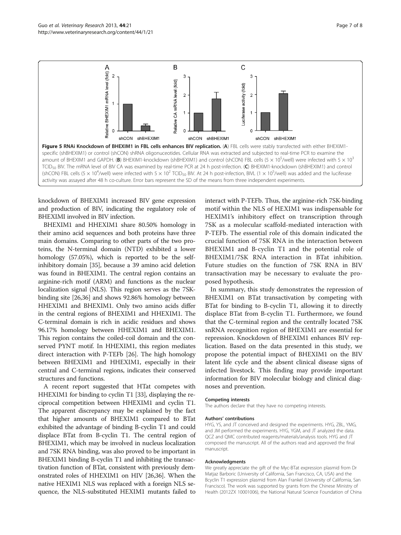<span id="page-6-0"></span>Guo et al. Veterinary Research 2013, 44:21 **Page 7 of 8** and 2014 **Page 7 of 8** and 2014 http://www.veterinaryresearch.org/content/44/1/21



knockdown of BHEXIM1 increased BIV gene expression and production of BIV, indicating the regulatory role of BHEXIMI involved in BIV infection.

BHEXIM1 and HHEXIM1 share 80.50% homology in their amino acid sequences and both proteins have three main domains. Comparing to other parts of the two proteins, the N-terminal domain (NTD) exhibited a lower homology (57.05%), which is reported to be the selfinhibitory domain [\[35\]](#page-7-0), because a 39 amino acid deletion was found in BHEXIM1. The central region contains an arginine-rich motif (ARM) and functions as the nuclear localization signal (NLS). This region serves as the 7SKbinding site [\[26,36](#page-7-0)] and shows 92.86% homology between HHEXIM1 and BHEXIM1. Only two amino acids differ in the central regions of BHEXIM1 and HHEXIM1. The C-terminal domain is rich in acidic residues and shows 96.17% homology between HHEXIM1 and BHEXIM1. This region contains the coiled-coil domain and the conserved PYNT motif. In HHEXIM1, this region mediates direct interaction with P-TEFb [\[26\]](#page-7-0). The high homology between BHEXIM1 and HHEXIM1, especially in their central and C-terminal regions, indicates their conserved structures and functions.

A recent report suggested that HTat competes with HHEXIM1 for binding to cyclin T1 [[33\]](#page-7-0), displaying the reciprocal competition between HHEXIM1 and cyclin T1. The apparent discrepancy may be explained by the fact that higher amounts of BHEXIM1 compared to BTat exhibited the advantage of binding B-cyclin T1 and could displace BTat from B-cyclin T1. The central region of BHEXIM1, which may be involved in nucleus localization and 7SK RNA binding, was also proved to be important in BHEXIM1 binding B-cyclin T1 and inhibiting the transactivation function of BTat, consistent with previously demonstrated roles of HHEXIM1 on HIV [\[26,36](#page-7-0)]. When the native HEXIM1 NLS was replaced with a foreign NLS sequence, the NLS-substituted HEXIM1 mutants failed to

interact with P-TEFb. Thus, the arginine-rich 7SK-binding motif within the NLS of HEXIM1 was indispensable for HEXIM1's inhibitory effect on transcription through 7SK as a molecular scaffold-mediated interaction with P-TEFb. The essential role of this domain indicated the crucial function of 7SK RNA in the interaction between BHEXIM1 and B-cyclin T1 and the potential role of BHEXIM1/7SK RNA interaction in BTat inhibition. Future studies on the function of 7SK RNA in BIV transactivation may be necessary to evaluate the proposed hypothesis.

In summary, this study demonstrates the repression of BHEXIM1 on BTat transactivation by competing with BTat for binding to B-cyclin T1, allowing it to directly displace BTat from B-cyclin T1. Furthermore, we found that the C-terminal region and the centrally located 7SK snRNA recognition region of BHEXIM1 are essential for repression. Knockdown of BHEXIM1 enhances BIV replication. Based on the data presented in this study, we propose the potential impact of BHEXIM1 on the BIV latent life cycle and the absent clinical disease signs of infected livestock. This finding may provide important information for BIV molecular biology and clinical diagnoses and prevention.

#### Competing interests

The authors declare that they have no competing interests.

#### Authors' contributions

HYG, YS, and JT conceived and designed the experiments. HYG, ZBL, YMG, and JM performed the experiments. HYG, YGM, and JT analyzed the data. QCZ and QMC contributed reagents/materials/analysis tools. HYG and JT composed the manuscript. All of the authors read and approved the final manuscript.

#### Acknowledgments

We greatly appreciate the gift of the Myc-BTat expression plasmid from Dr Matjaz Barboric (University of California, San Francisco, CA, USA) and the Bcyclin T1 expression plasmid from Alan Frankel (University of California, San Francisco). The work was supported by grants from the Chinese Ministry of Health (2012ZX 10001006), the National Natural Science Foundation of China